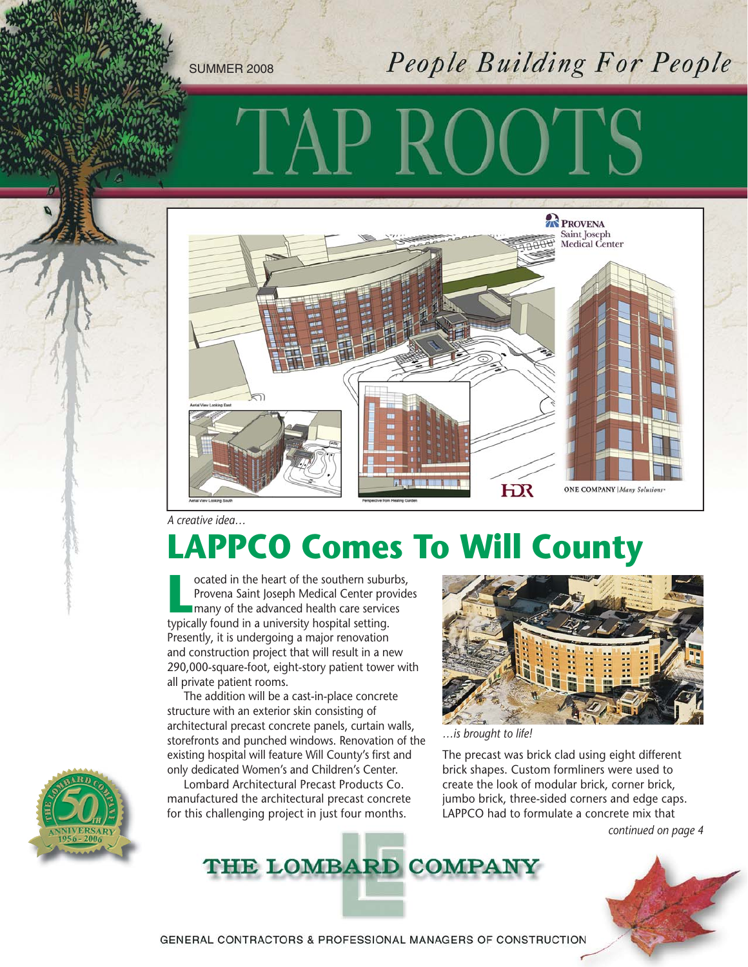SUMMER 2008

### People Building For People



*A creative idea…*

# **LAPPCO Comes To Will County**

**Located in the heart of the southern suburbs,<br>
Provena Saint Joseph Medical Center provide<br>
many of the advanced health care services<br>
typically found in a university bosnital setting** Provena Saint Joseph Medical Center provides many of the advanced health care services typically found in a university hospital setting. Presently, it is undergoing a major renovation and construction project that will result in a new 290,000-square-foot, eight-story patient tower with all private patient rooms.

The addition will be a cast-in-place concrete structure with an exterior skin consisting of architectural precast concrete panels, curtain walls, storefronts and punched windows. Renovation of the existing hospital will feature Will County's first and only dedicated Women's and Children's Center.

Lombard Architectural Precast Products Co. manufactured the architectural precast concrete for this challenging project in just four months.



*…is brought to life!*

The precast was brick clad using eight different brick shapes. Custom formliners were used to create the look of modular brick, corner brick, jumbo brick, three-sided corners and edge caps. LAPPCO had to formulate a concrete mix that *continued on page 4*







GENERAL CONTRACTORS & PROFESSIONAL MANAGERS OF CONSTRUCTION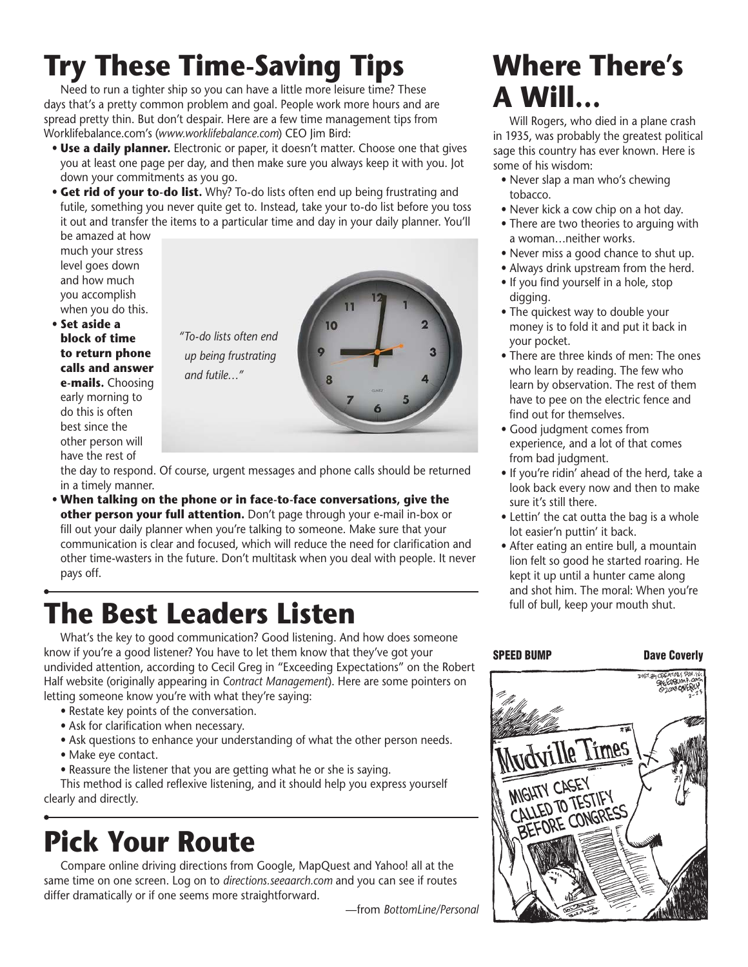# **Try These Time-Saving Tips**

Need to run a tighter ship so you can have a little more leisure time? These days that's a pretty common problem and goal. People work more hours and are spread pretty thin. But don't despair. Here are a few time management tips from Worklifebalance.com's (*www.worklifebalance.com*) CEO Jim Bird:

- **Use a daily planner.** Electronic or paper, it doesn't matter. Choose one that gives you at least one page per day, and then make sure you always keep it with you. Jot down your commitments as you go.
- **Get rid of your to-do list.** Why? To-do lists often end up being frustrating and futile, something you never quite get to. Instead, take your to-do list before you toss it out and transfer the items to a particular time and day in your daily planner. You'll be amazed at how

much your stress level goes down and how much you accomplish when you do this.

• **Set aside a block of time to return phone calls and answer e-mails.** Choosing early morning to do this is often best since the other person will have the rest of

*"To-do lists often end up being frustrating* 

the day to respond. Of course, urgent messages and phone calls should be returned in a timely manner.

• **When talking on the phone or in face-to-face conversations, give the other person your full attention.** Don't page through your e-mail in-box or fill out your daily planner when you're talking to someone. Make sure that your communication is clear and focused, which will reduce the need for clarification and other time-wasters in the future. Don't multitask when you deal with people. It never pays off.

# full of bull, keep your mouth shut. **The Best Leaders Listen**

*and futile…"*

What's the key to good communication? Good listening. And how does someone know if you're a good listener? You have to let them know that they've got your undivided attention, according to Cecil Greg in "Exceeding Expectations" on the Robert Half website (originally appearing in *Contract Management*). Here are some pointers on letting someone know you're with what they're saying:

- Restate key points of the conversation.
- Ask for clarification when necessary.
- Ask questions to enhance your understanding of what the other person needs.
- Make eye contact.
- Reassure the listener that you are getting what he or she is saying.

This method is called reflexive listening, and it should help you express yourself clearly and directly.

# **Pick Your Route**

Compare online driving directions from Google, MapQuest and Yahoo! all at the same time on one screen. Log on to *directions.seeaarch.com* and you can see if routes differ dramatically or if one seems more straightforward.

—from *BottomLine/Personal*

#### **Where There's A Will…**

Will Rogers, who died in a plane crash in 1935, was probably the greatest political sage this country has ever known. Here is some of his wisdom:

- Never slap a man who's chewing tobacco.
- Never kick a cow chip on a hot day.
- There are two theories to arguing with a woman…neither works.
- Never miss a good chance to shut up.
- Always drink upstream from the herd.
- If you find yourself in a hole, stop digging.
- The quickest way to double your money is to fold it and put it back in your pocket.
- There are three kinds of men: The ones who learn by reading. The few who learn by observation. The rest of them have to pee on the electric fence and find out for themselves.
- Good judgment comes from experience, and a lot of that comes from bad judgment.
- If you're ridin' ahead of the herd, take a look back every now and then to make sure it's still there.
- Lettin' the cat outta the bag is a whole lot easier'n puttin' it back.
- After eating an entire bull, a mountain lion felt so good he started roaring. He kept it up until a hunter came along and shot him. The moral: When you're

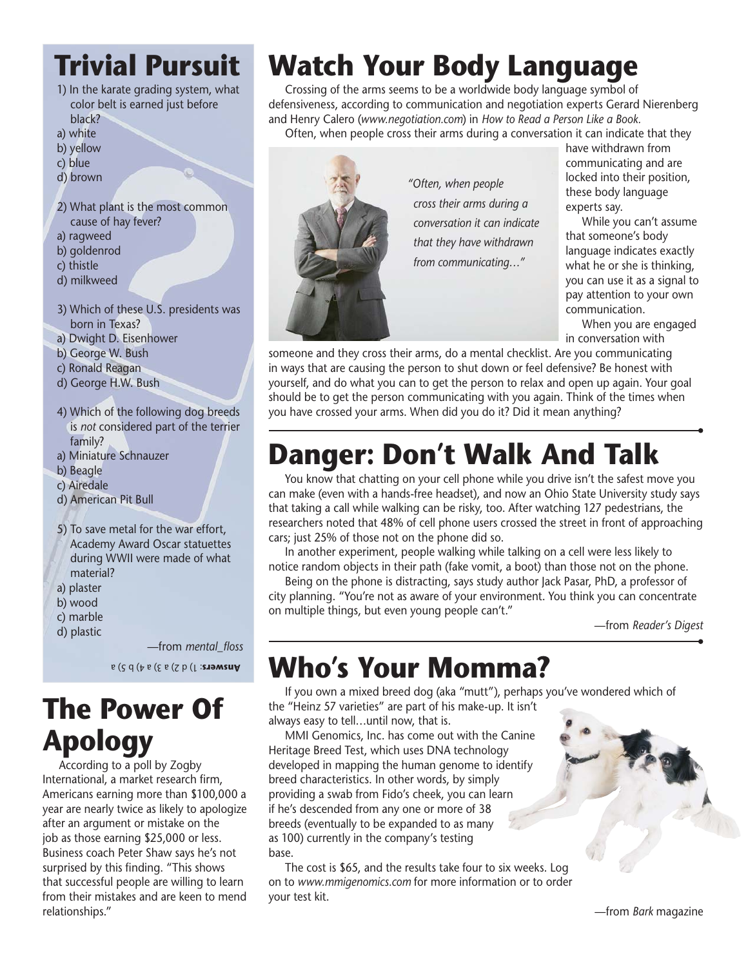#### **Trivial Pursuit**

- 1) In the karate grading system, what color belt is earned just before black?
- a) white
- b) yellow
- c) blue
- d) brown
- 2) What plant is the most common cause of hay fever?
- a) ragweed
- b) goldenrod
- c) thistle
- d) milkweed
- 3) Which of these U.S. presidents was born in Texas?
- a) Dwight D. Eisenhower
- b) George W. Bush
- c) Ronald Reagan
- d) George H.W. Bush
- 4) Which of the following dog breeds is *not* considered part of the terrier family?
- a) Miniature Schnauzer
- b) Beagle
- c) Airedale
- d) American Pit Bull
- 5) To save metal for the war effort, Academy Award Oscar statuettes during WWII were made of what material?
- a) plaster
- b) wood
- c) marble
- d) plastic

—from *mental\_floss* : 1) d 2) a 3) a 4) b 5) a **Answers**

#### **The Power Of Apology**

According to a poll by Zogby International, a market research firm, Americans earning more than \$100,000 a year are nearly twice as likely to apologize after an argument or mistake on the job as those earning \$25,000 or less. Business coach Peter Shaw says he's not surprised by this finding. "This shows that successful people are willing to learn from their mistakes and are keen to mend relationships."

## **Watch Your Body Language**

Crossing of the arms seems to be a worldwide body language symbol of defensiveness, according to communication and negotiation experts Gerard Nierenberg and Henry Calero (*www.negotiation.com*) in *How to Read a Person Like a Book.*  Often, when people cross their arms during a conversation it can indicate that they



*conversation it can indicate* 

have withdrawn from communicating and are locked into their position, these body language experts say.

While you can't assume that someone's body language indicates exactly what he or she is thinking, you can use it as a signal to pay attention to your own communication.

When you are engaged in conversation with

someone and they cross their arms, do a mental checklist. Are you communicating in ways that are causing the person to shut down or feel defensive? Be honest with yourself, and do what you can to get the person to relax and open up again. Your goal should be to get the person communicating with you again. Think of the times when you have crossed your arms. When did you do it? Did it mean anything?

# **Danger: Don't Walk And Talk**

You know that chatting on your cell phone while you drive isn't the safest move you can make (even with a hands-free headset), and now an Ohio State University study says that taking a call while walking can be risky, too. After watching 127 pedestrians, the researchers noted that 48% of cell phone users crossed the street in front of approaching cars; just 25% of those not on the phone did so.

In another experiment, people walking while talking on a cell were less likely to notice random objects in their path (fake vomit, a boot) than those not on the phone.

Being on the phone is distracting, says study author Jack Pasar, PhD, a professor of city planning. "You're not as aware of your environment. You think you can concentrate on multiple things, but even young people can't."

—from *Reader's Digest*

## **Who's Your Momma?**

If you own a mixed breed dog (aka "mutt"), perhaps you've wondered which of the "Heinz 57 varieties" are part of his make-up. It isn't always easy to tell…until now, that is.

MMI Genomics, Inc. has come out with the Canine Heritage Breed Test, which uses DNA technology developed in mapping the human genome to identify breed characteristics. In other words, by simply providing a swab from Fido's cheek, you can learn if he's descended from any one or more of 38 breeds (eventually to be expanded to as many as 100) currently in the company's testing base.

The cost is \$65, and the results take four to six weeks. Log on to *www.mmigenomics.com* for more information or to order your test kit.